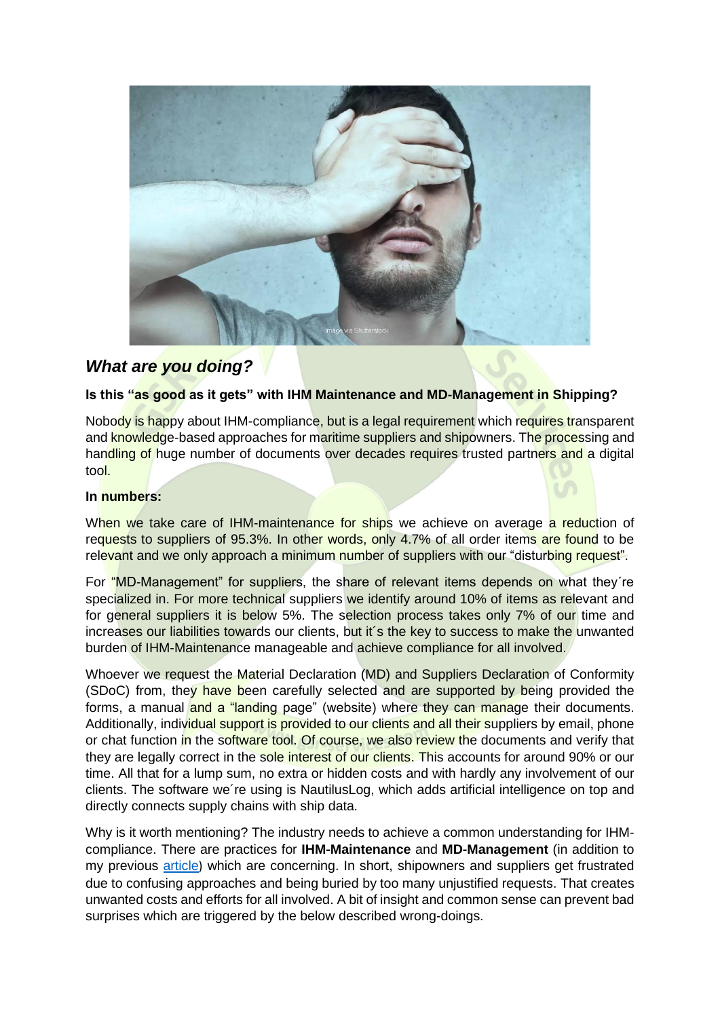

# *What are you doing?*

### **Is this "as good as it gets" with IHM Maintenance and MD-Management in Shipping?**

Nobody is happy about IHM-compliance, but is a legal requirement which requires transparent and knowledge-based approaches for maritime suppliers and shipowners. The processing and handling of huge number of documents over decades requires trusted partners and a digital tool.

### **In numbers:**

When we take care of IHM-maintenance for ships we achieve on average a reduction of requests to suppliers of 95.3%. In other words, only 4.7% of all order items are found to be relevant and we only approach a minimum number of suppliers with our "disturbing request".

For "MD-Management" for suppliers, the share of relevant items depends on what they're specialized in. For more technical suppliers we identify around 10% of items as relevant and for general suppliers it is below 5%. The selection process takes only 7% of our time and increases our liabilities towards our clients, but it´s the key to success to make the unwanted burden of IHM-Maintenance manageable and achieve compliance for all involved.

Whoever we request the Material Declaration (MD) and Suppliers Declaration of Conformity (SDoC) from, they have been carefully selected and are supported by being provided the forms, a manual and a "landing page" (website) where they can manage their documents. Additionally, individual support is provided to our clients and all their suppliers by email, phone or chat function in the software tool. Of course, we also review the documents and verify that they are legally correct in the sole interest of our clients. This accounts for around 90% or our time. All that for a lump sum, no extra or hidden costs and with hardly any involvement of our clients. The software we´re using is NautilusLog, which adds artificial intelligence on top and directly connects supply chains with ship data.

Why is it worth mentioning? The industry needs to achieve a common understanding for IHMcompliance. There are practices for **IHM-Maintenance** and **MD-Management** (in addition to my previous [article](https://www.linkedin.com/feed/update/urn:li:activity:6767013701477285888)) which are concerning. In short, shipowners and suppliers get frustrated due to confusing approaches and being buried by too many unjustified requests. That creates unwanted costs and efforts for all involved. A bit of insight and common sense can prevent bad surprises which are triggered by the below described wrong-doings.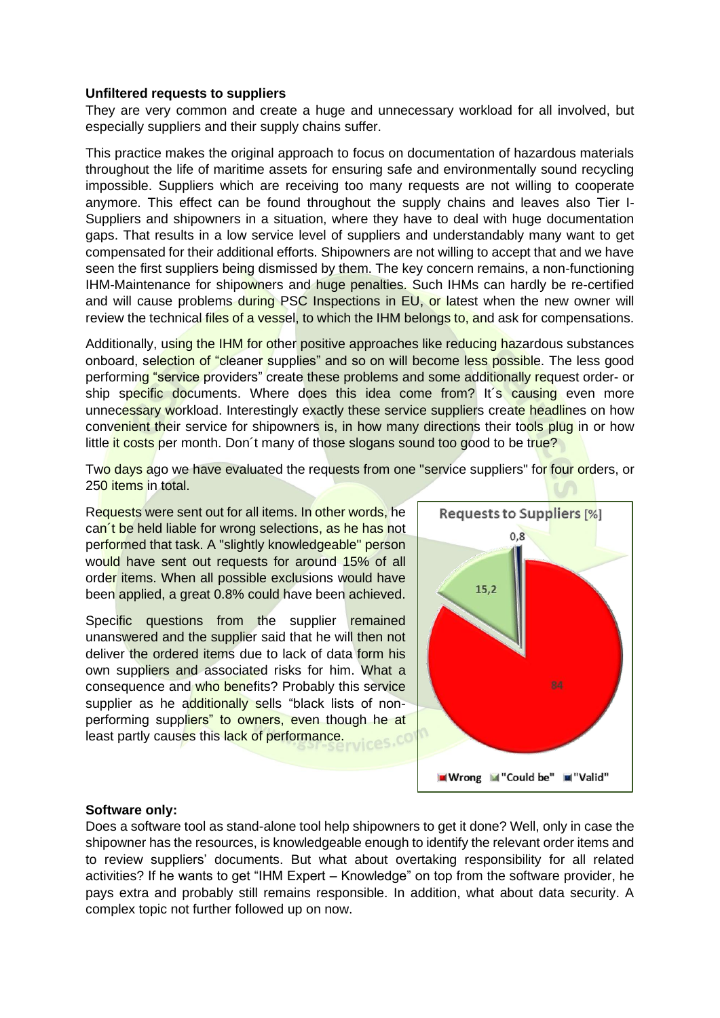### **Unfiltered requests to suppliers**

They are very common and create a huge and unnecessary workload for all involved, but especially suppliers and their supply chains suffer.

This practice makes the original approach to focus on documentation of hazardous materials throughout the life of maritime assets for ensuring safe and environmentally sound recycling impossible. Suppliers which are receiving too many requests are not willing to cooperate anymore. This effect can be found throughout the supply chains and leaves also Tier I-Suppliers and shipowners in a situation, where they have to deal with huge documentation gaps. That results in a low service level of suppliers and understandably many want to get compensated for their additional efforts. Shipowners are not willing to accept that and we have seen the first suppliers being dismissed by them. The key concern remains, a non-functioning IHM-Maintenance for shipowners and huge penalties. Such IHMs can hardly be re-certified and will cause problems during PSC Inspections in EU, or latest when the new owner will review the technical files of a vessel, to which the IHM belongs to, and ask for compensations.

Additionally, using the IHM for other positive approaches like reducing hazardous substances onboard, selection of "cleaner supplies" and so on will become less possible. The less good performing "service providers" create these problems and some additionally request order- or ship specific documents. Where does this idea come from? It's causing even more unnecessary workload. Interestingly exactly these service suppliers create headlines on how convenient their service for shipowners is, in how many directions their tools plug in or how little it costs per month. Don't many of those slogans sound too good to be true?

Two days ago we have evaluated the requests from one "service suppliers" for four orders, or 250 items in total.

Requests were sent out for all items. In other words, he can't be held liable for wrong selections, as he has not performed that task. A "slightly knowledgeable" person would have sent out requests for around 15% of all order items. When all possible exclusions would have been applied, a great 0.8% could have been achieved.

Specific questions from the supplier remained unanswered and the supplier said that he will then not deliver the ordered items due to lack of data form his own suppliers and associated risks for him. What a consequence and who benefits? Probably this service supplier as he additionally sells "black lists of nonperforming suppliers" to owners, even though he at least partly causes this lack of performance.



#### **Software only:**

Does a software tool as stand-alone tool help shipowners to get it done? Well, only in case the shipowner has the resources, is knowledgeable enough to identify the relevant order items and to review suppliers' documents. But what about overtaking responsibility for all related activities? If he wants to get "IHM Expert – Knowledge" on top from the software provider, he pays extra and probably still remains responsible. In addition, what about data security. A complex topic not further followed up on now.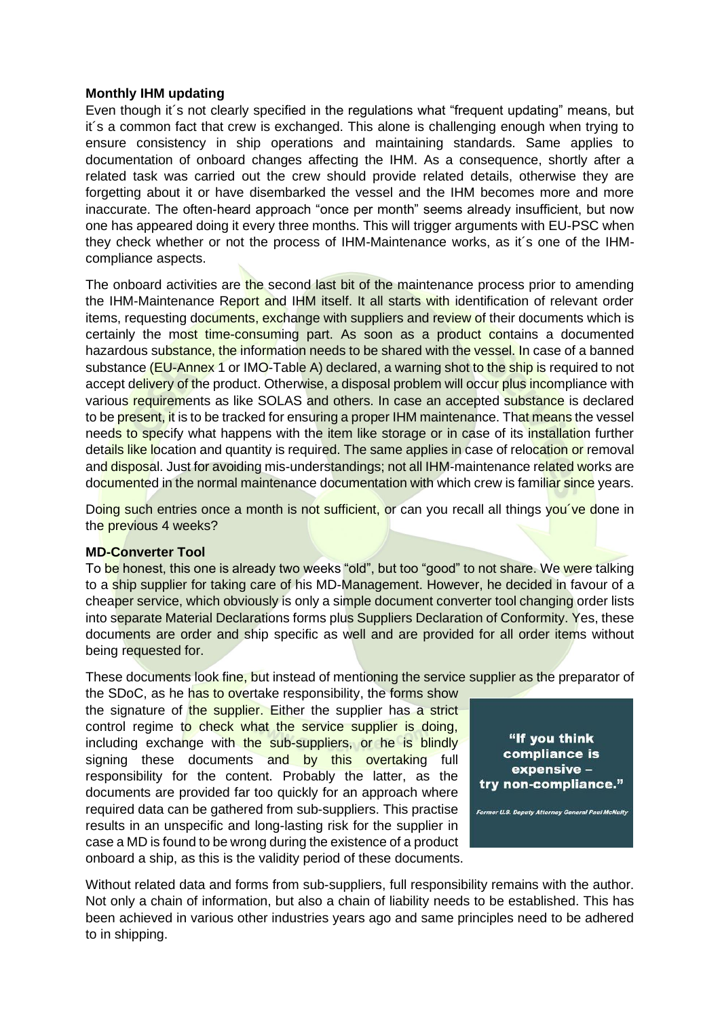### **Monthly IHM updating**

Even though it´s not clearly specified in the regulations what "frequent updating" means, but it´s a common fact that crew is exchanged. This alone is challenging enough when trying to ensure consistency in ship operations and maintaining standards. Same applies to documentation of onboard changes affecting the IHM. As a consequence, shortly after a related task was carried out the crew should provide related details, otherwise they are forgetting about it or have disembarked the vessel and the IHM becomes more and more inaccurate. The often-heard approach "once per month" seems already insufficient, but now one has appeared doing it every three months. This will trigger arguments with EU-PSC when they check whether or not the process of IHM-Maintenance works, as it´s one of the IHMcompliance aspects.

The onboard activities are the second last bit of the maintenance process prior to amending the IHM-Maintenance Report and IHM itself. It all starts with identification of relevant order items, requesting documents, exchange with suppliers and review of their documents which is certainly the most time-consuming part. As soon as a product contains a documented hazardous substance, the information needs to be shared with the vessel. In case of a banned substance (EU-Annex 1 or IMO-Table A) declared, a warning shot to the ship is required to not accept delivery of the product. Otherwise, a disposal problem will occur plus incompliance with various requirements as like SOLAS and others. In case an accepted substance is declared to be present, it is to be tracked for ensuring a proper IHM maintenance. That means the vessel needs to specify what happens with the *item like storage or in case of its installation further* details like location and quantity is required. The same applies in case of relocation or removal and disposal. Just for avoiding mis-understandings; not all IHM-maintenance related works are documented in the normal maintenance documentation with which crew is familiar since years.

Doing such entries once a month is not sufficient, or can you recall all things you've done in the previous 4 weeks?

#### **MD-Converter Tool**

To be honest, this one is already two weeks "old", but too "good" to not share. We were talking to a ship supplier for taking care of his MD-Management. However, he decided in favour of a cheaper service, which obviously is only a simple document converter tool changing order lists into separate Material Declarations forms plus Suppliers Declaration of Conformity. Yes, these documents are order and ship specific as well and are provided for all order items without being requested for.

These documents look fine, but instead of mentioning the service supplier as the preparator of

the SDoC, as he has to overtake responsibility, the forms show the signature of the supplier. Either the supplier has a strict control regime to check what the service supplier is doing, including exchange with the sub-suppliers, or he is blindly signing these documents and by this overtaking full responsibility for the content. Probably the latter, as the documents are provided far too quickly for an approach where required data can be gathered from sub-suppliers. This practise results in an unspecific and long-lasting risk for the supplier in case a MD is found to be wrong during the existence of a product onboard a ship, as this is the validity period of these documents.



Without related data and forms from sub-suppliers, full responsibility remains with the author. Not only a chain of information, but also a chain of liability needs to be established. This has been achieved in various other industries years ago and same principles need to be adhered to in shipping.